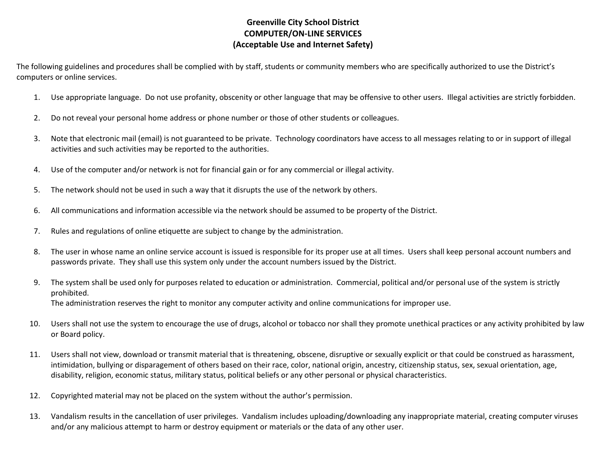## **Greenville City School District COMPUTER/ON-LINE SERVICES (Acceptable Use and Internet Safety)**

The following guidelines and procedures shall be complied with by staff, students or community members who are specifically authorized to use the District's computers or online services.

- 1. Use appropriate language. Do not use profanity, obscenity or other language that may be offensive to other users. Illegal activities are strictly forbidden.
- 2. Do not reveal your personal home address or phone number or those of other students or colleagues.
- 3. Note that electronic mail (email) is not guaranteed to be private. Technology coordinators have access to all messages relating to or in support of illegal activities and such activities may be reported to the authorities.
- 4. Use of the computer and/or network is not for financial gain or for any commercial or illegal activity.
- 5. The network should not be used in such a way that it disrupts the use of the network by others.
- 6. All communications and information accessible via the network should be assumed to be property of the District.
- 7. Rules and regulations of online etiquette are subject to change by the administration.
- 8. The user in whose name an online service account is issued is responsible for its proper use at all times. Users shall keep personal account numbers and passwords private. They shall use this system only under the account numbers issued by the District.
- 9. The system shall be used only for purposes related to education or administration. Commercial, political and/or personal use of the system is strictly prohibited. The administration reserves the right to monitor any computer activity and online communications for improper use.
- 10. Users shall not use the system to encourage the use of drugs, alcohol or tobacco nor shall they promote unethical practices or any activity prohibited by law or Board policy.
- 11. Users shall not view, download or transmit material that is threatening, obscene, disruptive or sexually explicit or that could be construed as harassment, intimidation, bullying or disparagement of others based on their race, color, national origin, ancestry, citizenship status, sex, sexual orientation, age, disability, religion, economic status, military status, political beliefs or any other personal or physical characteristics.
- 12. Copyrighted material may not be placed on the system without the author's permission.
- 13. Vandalism results in the cancellation of user privileges. Vandalism includes uploading/downloading any inappropriate material, creating computer viruses and/or any malicious attempt to harm or destroy equipment or materials or the data of any other user.